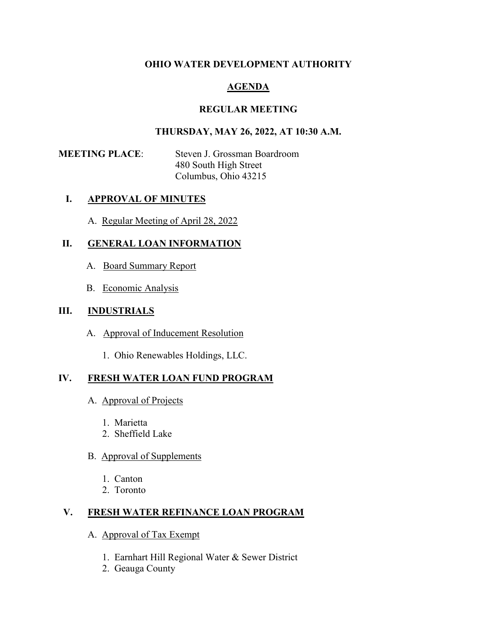### **OHIO WATER DEVELOPMENT AUTHORITY**

# **AGENDA**

## **REGULAR MEETING**

### **THURSDAY, MAY 26, 2022, AT 10:30 A.M.**

**MEETING PLACE**: Steven J. Grossman Boardroom 480 South High Street Columbus, Ohio 43215

#### **I. APPROVAL OF MINUTES**

A. Regular Meeting of April 28, 2022

## **II. GENERAL LOAN INFORMATION**

- A. Board Summary Report
- B. Economic Analysis

#### **III. INDUSTRIALS**

- A. Approval of Inducement Resolution
	- 1. Ohio Renewables Holdings, LLC.

## **IV. FRESH WATER LOAN FUND PROGRAM**

- A. Approval of Projects
	- 1. Marietta
	- 2. Sheffield Lake

#### B. Approval of Supplements

- 1. Canton
- 2. Toronto

## **V. FRESH WATER REFINANCE LOAN PROGRAM**

- A. Approval of Tax Exempt
	- 1. Earnhart Hill Regional Water & Sewer District
	- 2. Geauga County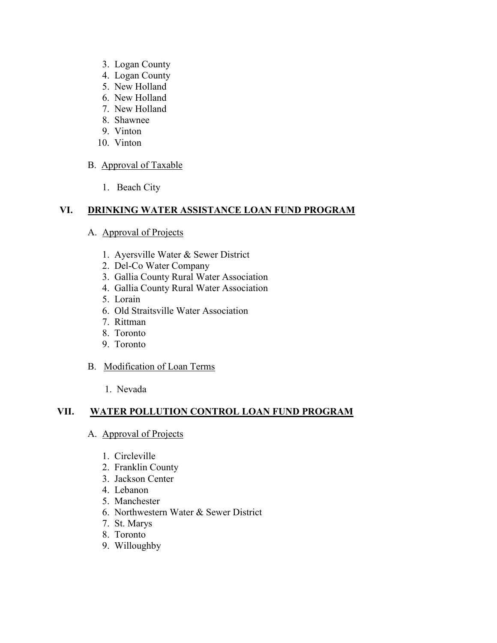- 3. Logan County
- 4. Logan County
- 5. New Holland
- 6. New Holland
- 7. New Holland
- 8. Shawnee
- 9. Vinton
- 10. Vinton

## B. Approval of Taxable

1. Beach City

# **VI. DRINKING WATER ASSISTANCE LOAN FUND PROGRAM**

#### A. Approval of Projects

- 1. Ayersville Water & Sewer District
- 2. Del-Co Water Company
- 3. Gallia County Rural Water Association
- 4. Gallia County Rural Water Association
- 5. Lorain
- 6. Old Straitsville Water Association
- 7. Rittman
- 8. Toronto
- 9. Toronto

#### B. Modification of Loan Terms

1. Nevada

## **VII. WATER POLLUTION CONTROL LOAN FUND PROGRAM**

- A. Approval of Projects
	- 1. Circleville
	- 2. Franklin County
	- 3. Jackson Center
	- 4. Lebanon
	- 5. Manchester
	- 6. Northwestern Water & Sewer District
	- 7. St. Marys
	- 8. Toronto
	- 9. Willoughby